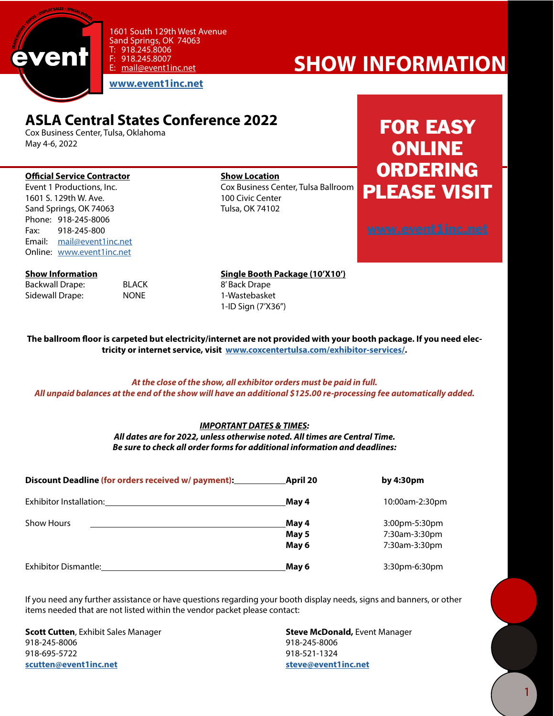

1601 South 129th West Avenue Sand Springs, OK 74063  $T: 918.245.8006$ <br>F: 918.245.8007 918.245.8007 E: [mail@event1inc.net](mailto:mail@event1inc.net)

**[www.event1inc.net](http://www.event1inc.net)**

### **ASLA Central States Conference 2022**

Cox Business Center, Tulsa, Oklahoma May 4-6, 2022

### **Official Service Contractor Show Location**<br>
Figure 1 Productions. Inc. Show Cox Business Ce

1601 S. 129th W. Ave. 100 Civic Center Sand Springs, OK 74063 Tulsa, OK 74102 Phone: 918-245-8006 Fax: 918-245-800 Email: [mail@event1inc.net](mailto:mail@event1inc.net) Online: [www.event1inc.net](http://www.event1inc.net)

Cox Business Center, Tulsa Ballroom

## FOR EASY ONLINE **ORDERING** PLEASE VISIT

**show information**

| Backwall Drape: | BLA |
|-----------------|-----|
| Sidewall Drape: | NON |

**Show Information Show Information Single Booth Package (10'X10')** CK 8' Back Drape Sidewall Drape: NONE 1-Wastebasket 1-ID Sign (7'X36")

**The ballroom floor is carpeted but electricity/internet are not provided with your booth package. If you need electricity or internet service, visit [www.coxcentertulsa.com/exhibitor-services/.](http://www.coxcentertulsa.com/exhibitor-services/)** 

#### *At the close of the show, all exhibitor orders must be paid in full. All unpaid balances at the end of the show will have an additional \$125.00 re-processing fee automatically added.*

### *IMPORTANT DATES & TIMES:*

*All dates are for 2022, unless otherwise noted. All times are Central Time. Be sure to check all order forms for additional information and deadlines:*

| Discount Deadline (for orders received w/ payment): | April 20                | by $4:30pm$                                     |
|-----------------------------------------------------|-------------------------|-------------------------------------------------|
| Exhibitor Installation:                             | May 4                   | 10:00am-2:30pm                                  |
| <b>Show Hours</b>                                   | May 4<br>May 5<br>May 6 | 3:00pm-5:30pm<br>7:30am-3:30pm<br>7:30am-3:30pm |
| <b>Exhibitor Dismantle:</b>                         | May 6                   | 3:30pm-6:30pm                                   |

If you need any further assistance or have questions regarding your booth display needs, signs and banners, or other items needed that are not listed within the vendor packet please contact:

**Scott Cutten**, Exhibit Sales Manager **Steve McDonald,** Event Manager 918-245-8006 918-245-8006 918-695-5722 918-521-1324 **scutten@event1inc.net steve@event1inc.net**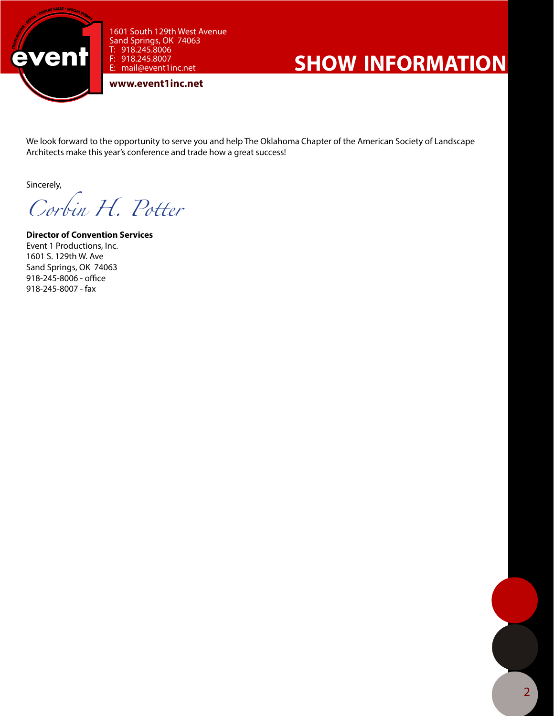

1601 South 129th West Avenue Sand Springs, OK 74063 T: 918.245.8006 F: 918.245.8007 E: mail@event1inc.net

**www.event1inc.net**

# **show information**

We look forward to the opportunity to serve you and help The Oklahoma Chapter of the American Society of Landscape Architects make this year's conference and trade how a great success!

Sincerely,

*Corbin H. Potter*

**Director of Convention Services** Event 1 Productions, Inc. 1601 S. 129th W. Ave Sand Springs, OK 74063 918-245-8006 - office 918-245-8007 - fax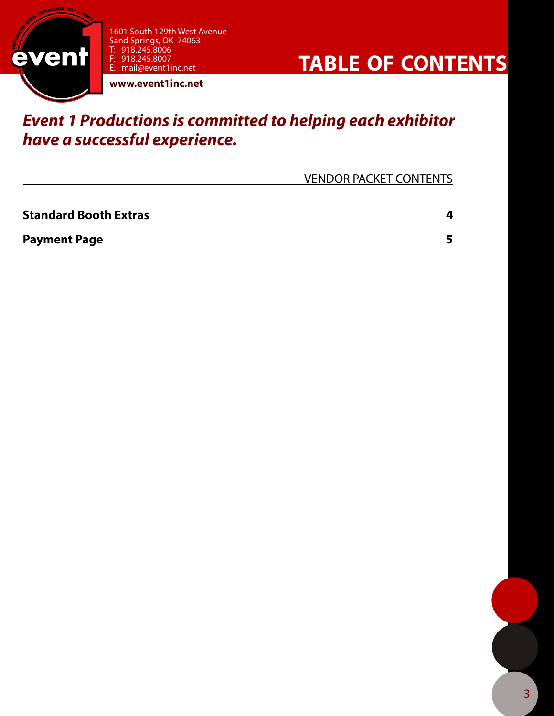

1601 South 129th West Avenue Sand Springs, OK 74063 T: 918.245.8006 F: 918.245.8007 E: mail@event1inc.net



**www.event1inc.net**

### *Event 1 Productions is committed to helping each exhibitor have a successful experience.*

VENDOR PACKET CONTENTS

| <b>Standard Booth Extras</b> |  |
|------------------------------|--|
| <b>Payment Page</b>          |  |

3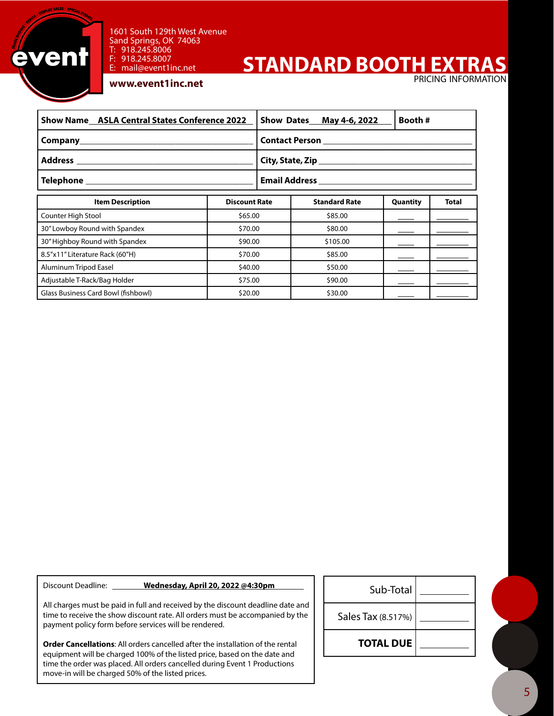

#### 1601 South 129th West Avenue Sand Springs, OK 74063 T: 918.245.8006<br>F: 918.245.8007 918.245.8007

## **STANDARD BOOTH EXT**

pricing information

#### **www.event1inc.net**

E: mail@event1inc.net

| <b>Show Name ASLA Central States Conference 2022</b> |                      |                                       | Show Dates_May 4-6, 2022 | Booth #  |              |
|------------------------------------------------------|----------------------|---------------------------------------|--------------------------|----------|--------------|
|                                                      |                      | Contact Person ______________________ |                          |          |              |
|                                                      |                      |                                       |                          |          |              |
|                                                      |                      |                                       |                          |          |              |
| <b>Item Description</b>                              | <b>Discount Rate</b> |                                       | <b>Standard Rate</b>     | Quantity | <b>Total</b> |
| Counter High Stool                                   | \$65.00              |                                       | \$85.00                  |          |              |
| 30" Lowboy Round with Spandex                        | \$70.00              |                                       | \$80.00                  |          |              |
| 30" Highboy Round with Spandex                       | \$90.00              |                                       | \$105.00                 |          |              |
| 8.5"x11" Literature Rack (60"H)                      | \$70.00              |                                       | \$85.00                  |          |              |
| Aluminum Tripod Easel                                | \$40.00              |                                       | \$50.00                  |          |              |
| Adjustable T-Rack/Bag Holder                         | \$75.00              |                                       | \$90.00                  |          |              |
| Glass Business Card Bowl (fishbowl)                  | \$20.00              |                                       | \$30.00                  |          |              |

Discount Deadline: **Wednesday, April 20, 2022 @4:30pm** 

All charges must be paid in full and received by the discount deadline date and time to receive the show discount rate. All orders must be accompanied by the payment policy form before services will be rendered.

**Order Cancellations**: All orders cancelled after the installation of the rental equipment will be charged 100% of the listed price, based on the date and time the order was placed. All orders cancelled during Event 1 Productions move-in will be charged 50% of the listed prices.

| Sub-Total          |  |
|--------------------|--|
| Sales Tax (8.517%) |  |
| <b>TOTAL DUE</b>   |  |

5